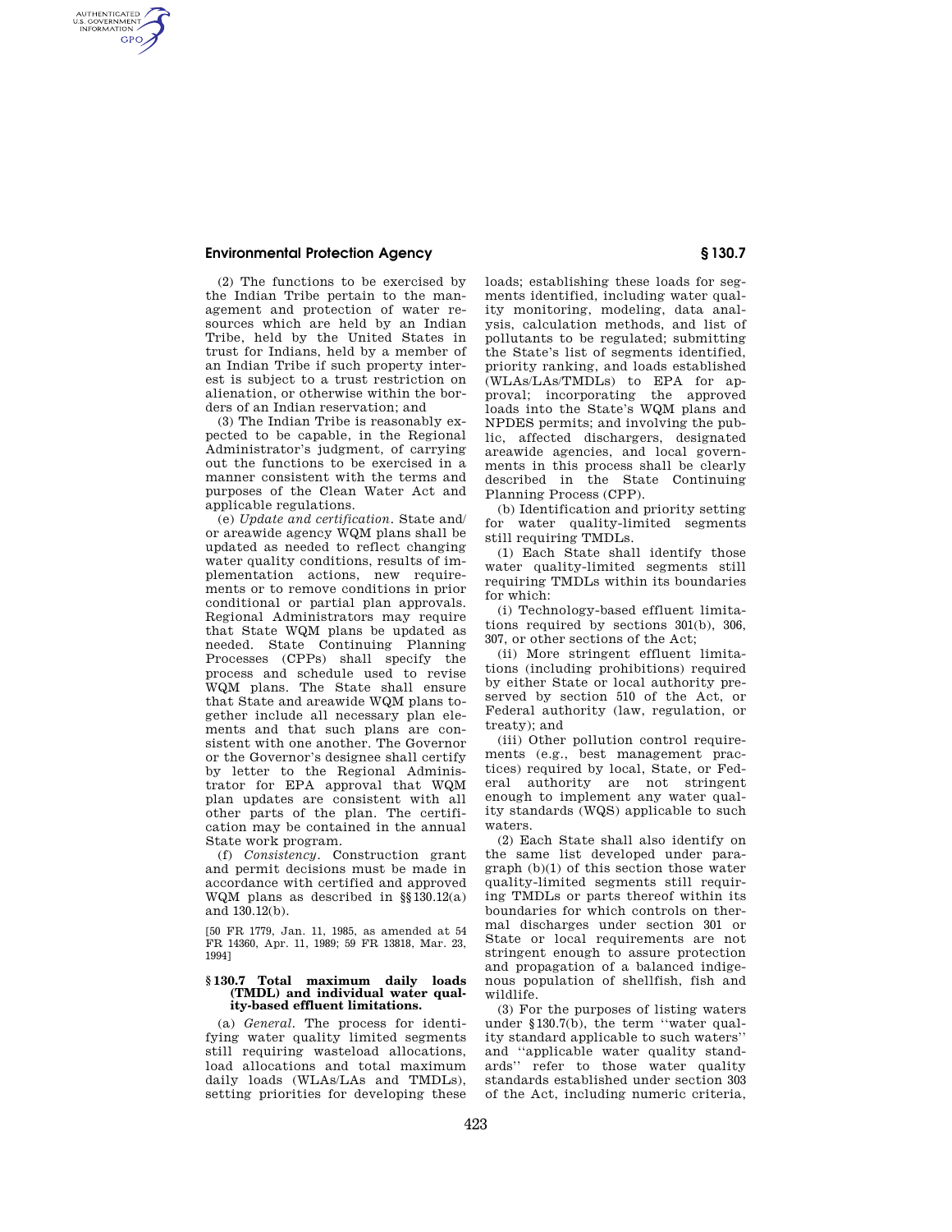# **Environmental Protection Agency § 130.7**

AUTHENTICATED<br>U.S. GOVERNMENT<br>INFORMATION **GPO** 

> (2) The functions to be exercised by the Indian Tribe pertain to the management and protection of water resources which are held by an Indian Tribe, held by the United States in trust for Indians, held by a member of an Indian Tribe if such property interest is subject to a trust restriction on alienation, or otherwise within the borders of an Indian reservation; and

> (3) The Indian Tribe is reasonably expected to be capable, in the Regional Administrator's judgment, of carrying out the functions to be exercised in a manner consistent with the terms and purposes of the Clean Water Act and applicable regulations.

(e) *Update and certification.* State and/ or areawide agency WQM plans shall be updated as needed to reflect changing water quality conditions, results of implementation actions, new requirements or to remove conditions in prior conditional or partial plan approvals. Regional Administrators may require that State WQM plans be updated as needed. State Continuing Planning Processes (CPPs) shall specify the process and schedule used to revise WQM plans. The State shall ensure that State and areawide WQM plans together include all necessary plan elements and that such plans are consistent with one another. The Governor or the Governor's designee shall certify by letter to the Regional Administrator for EPA approval that WQM plan updates are consistent with all other parts of the plan. The certification may be contained in the annual State work program.

(f) *Consistency.* Construction grant and permit decisions must be made in accordance with certified and approved WQM plans as described in §§130.12(a) and 130.12(b).

[50 FR 1779, Jan. 11, 1985, as amended at 54 FR 14360, Apr. 11, 1989; 59 FR 13818, Mar. 23, 1994]

### **§ 130.7 Total maximum daily loads (TMDL) and individual water quality-based effluent limitations.**

(a) *General.* The process for identifying water quality limited segments still requiring wasteload allocations, load allocations and total maximum daily loads (WLAs/LAs and TMDLs), setting priorities for developing these

loads; establishing these loads for segments identified, including water quality monitoring, modeling, data analysis, calculation methods, and list of pollutants to be regulated; submitting the State's list of segments identified, priority ranking, and loads established (WLAs/LAs/TMDLs) to EPA for approval; incorporating the approved loads into the State's WQM plans and NPDES permits; and involving the public, affected dischargers, designated areawide agencies, and local governments in this process shall be clearly described in the State Continuing Planning Process (CPP).

(b) Identification and priority setting for water quality-limited segments still requiring TMDLs.

(1) Each State shall identify those water quality-limited segments still requiring TMDLs within its boundaries for which:

(i) Technology-based effluent limitations required by sections 301(b), 306, 307, or other sections of the Act;

(ii) More stringent effluent limitations (including prohibitions) required by either State or local authority preserved by section 510 of the Act, or Federal authority (law, regulation, or treaty); and

(iii) Other pollution control requirements (e.g., best management practices) required by local, State, or Federal authority are not stringent enough to implement any water quality standards (WQS) applicable to such waters.

(2) Each State shall also identify on the same list developed under paragraph (b)(1) of this section those water quality-limited segments still requiring TMDLs or parts thereof within its boundaries for which controls on thermal discharges under section 301 or State or local requirements are not stringent enough to assure protection and propagation of a balanced indigenous population of shellfish, fish and wildlife.

(3) For the purposes of listing waters under §130.7(b), the term "water quality standard applicable to such waters'' and ''applicable water quality standards'' refer to those water quality standards established under section 303 of the Act, including numeric criteria,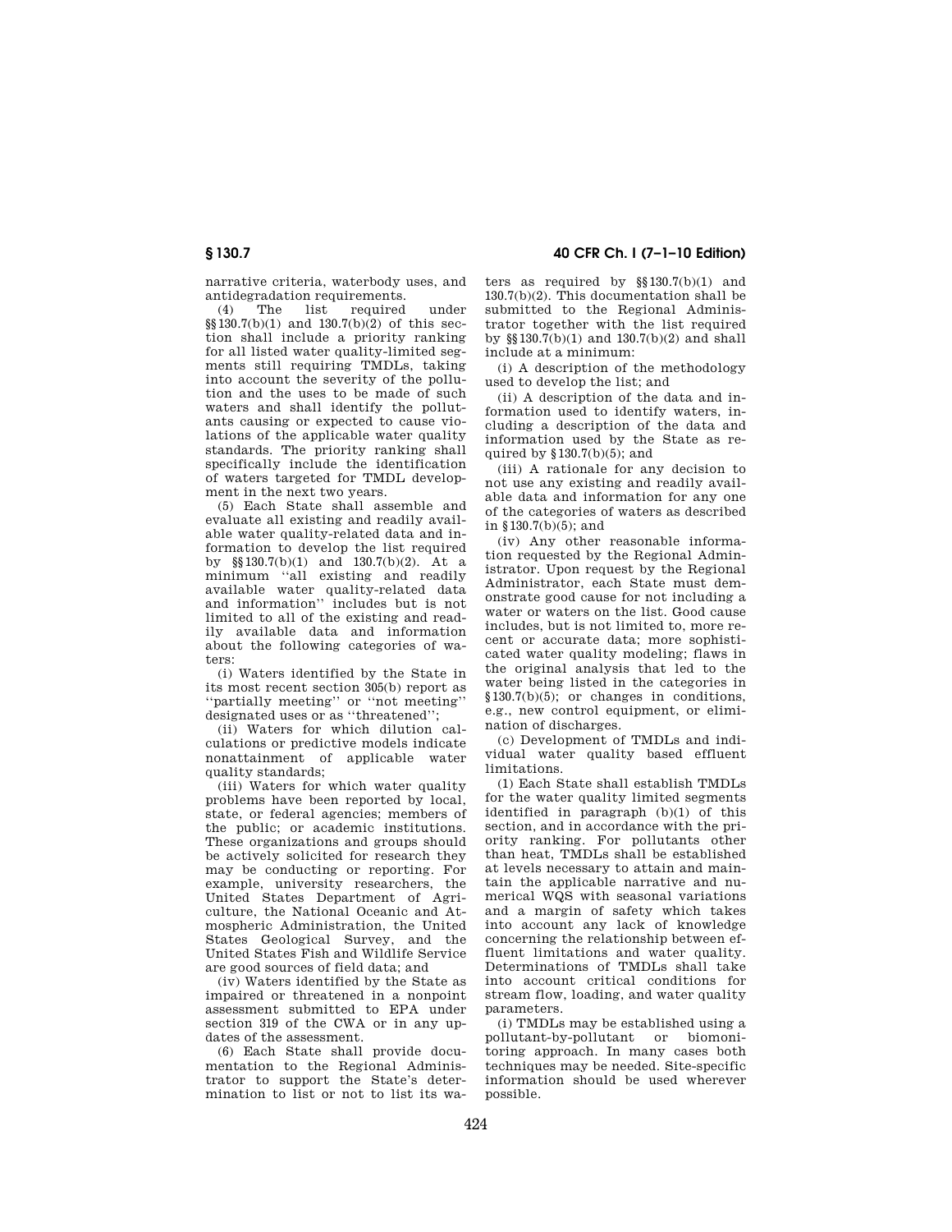# **§ 130.7 40 CFR Ch. I (7–1–10 Edition)**

narrative criteria, waterbody uses, and antidegradation requirements.

(4) The list required under  $\S(130.7(b)(1)$  and  $130.7(b)(2)$  of this section shall include a priority ranking for all listed water quality-limited segments still requiring TMDLs, taking into account the severity of the pollution and the uses to be made of such waters and shall identify the pollutants causing or expected to cause violations of the applicable water quality standards. The priority ranking shall specifically include the identification of waters targeted for TMDL development in the next two years.

(5) Each State shall assemble and evaluate all existing and readily available water quality-related data and information to develop the list required by §§130.7(b)(1) and 130.7(b)(2). At a minimum ''all existing and readily available water quality-related data and information'' includes but is not limited to all of the existing and readily available data and information about the following categories of waters:

(i) Waters identified by the State in its most recent section 305(b) report as ''partially meeting'' or ''not meeting'' designated uses or as ''threatened'';

(ii) Waters for which dilution calculations or predictive models indicate nonattainment of applicable water quality standards;

(iii) Waters for which water quality problems have been reported by local, state, or federal agencies; members of the public; or academic institutions. These organizations and groups should be actively solicited for research they may be conducting or reporting. For example, university researchers, the United States Department of Agriculture, the National Oceanic and Atmospheric Administration, the United States Geological Survey, and the United States Fish and Wildlife Service are good sources of field data; and

(iv) Waters identified by the State as impaired or threatened in a nonpoint assessment submitted to EPA under section 319 of the CWA or in any updates of the assessment.

(6) Each State shall provide documentation to the Regional Administrator to support the State's determination to list or not to list its waters as required by §§130.7(b)(1) and 130.7(b)(2). This documentation shall be submitted to the Regional Administrator together with the list required by §§130.7(b)(1) and 130.7(b)(2) and shall include at a minimum:

(i) A description of the methodology used to develop the list; and

(ii) A description of the data and information used to identify waters, including a description of the data and information used by the State as required by  $$130.7(b)(5)$ ; and

(iii) A rationale for any decision to not use any existing and readily available data and information for any one of the categories of waters as described in §130.7(b)(5); and

(iv) Any other reasonable information requested by the Regional Administrator. Upon request by the Regional Administrator, each State must demonstrate good cause for not including a water or waters on the list. Good cause includes, but is not limited to, more recent or accurate data; more sophisticated water quality modeling; flaws in the original analysis that led to the water being listed in the categories in §130.7(b)(5); or changes in conditions, e.g., new control equipment, or elimination of discharges.

(c) Development of TMDLs and individual water quality based effluent limitations.

(1) Each State shall establish TMDLs for the water quality limited segments identified in paragraph (b)(1) of this section, and in accordance with the priority ranking. For pollutants other than heat, TMDLs shall be established at levels necessary to attain and maintain the applicable narrative and numerical WQS with seasonal variations and a margin of safety which takes into account any lack of knowledge concerning the relationship between effluent limitations and water quality. Determinations of TMDLs shall take into account critical conditions for stream flow, loading, and water quality parameters.

(i) TMDLs may be established using a pollutant-by-pollutant or biomonitoring approach. In many cases both techniques may be needed. Site-specific information should be used wherever possible.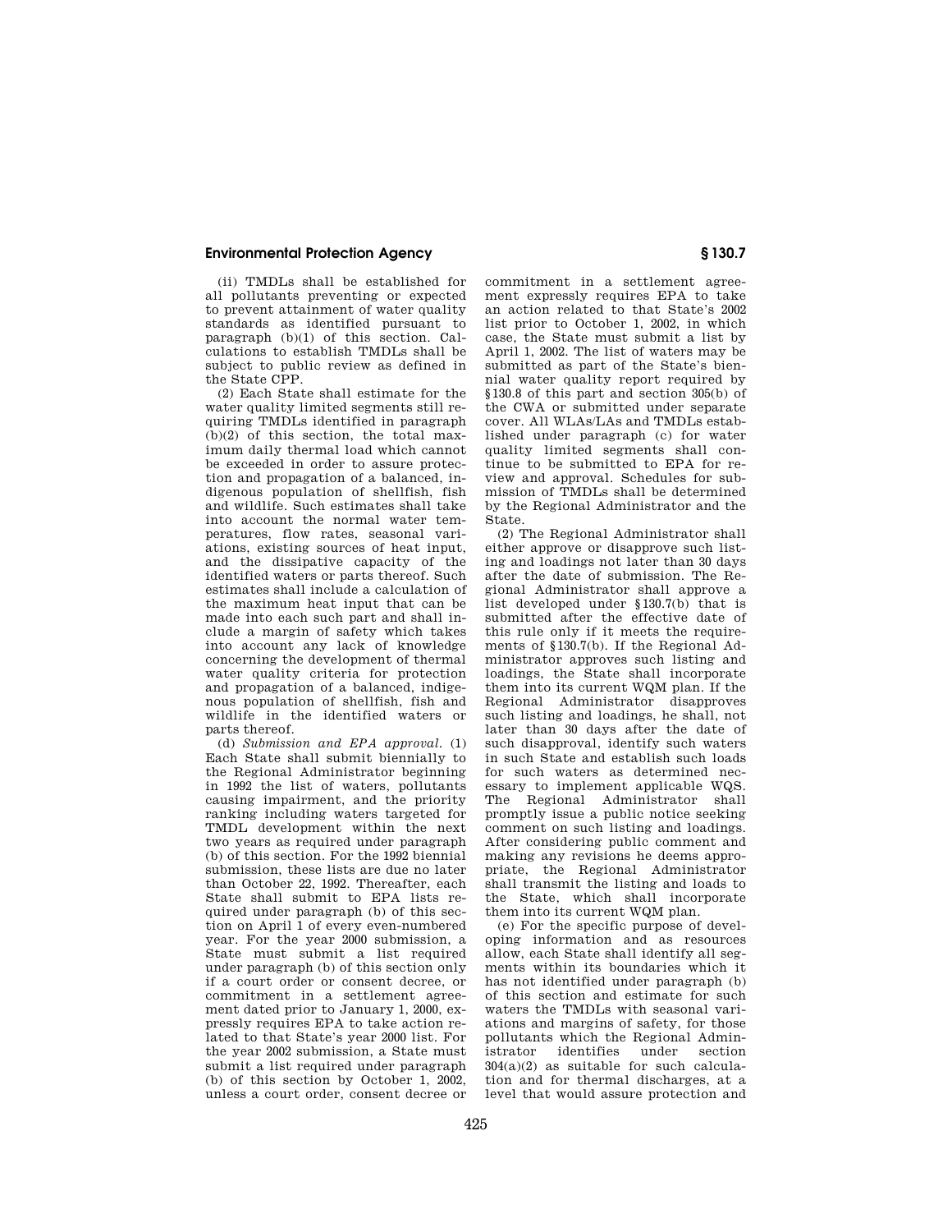# **Environmental Protection Agency § 130.7**

(ii) TMDLs shall be established for all pollutants preventing or expected to prevent attainment of water quality standards as identified pursuant to paragraph (b)(1) of this section. Calculations to establish TMDLs shall be subject to public review as defined in the State CPP.

(2) Each State shall estimate for the water quality limited segments still requiring TMDLs identified in paragraph (b)(2) of this section, the total maximum daily thermal load which cannot be exceeded in order to assure protection and propagation of a balanced, indigenous population of shellfish, fish and wildlife. Such estimates shall take into account the normal water temperatures, flow rates, seasonal variations, existing sources of heat input, and the dissipative capacity of the identified waters or parts thereof. Such estimates shall include a calculation of the maximum heat input that can be made into each such part and shall include a margin of safety which takes into account any lack of knowledge concerning the development of thermal water quality criteria for protection and propagation of a balanced, indigenous population of shellfish, fish and wildlife in the identified waters or parts thereof.

(d) *Submission and EPA approval.* (1) Each State shall submit biennially to the Regional Administrator beginning in 1992 the list of waters, pollutants causing impairment, and the priority ranking including waters targeted for TMDL development within the next two years as required under paragraph (b) of this section. For the 1992 biennial submission, these lists are due no later than October 22, 1992. Thereafter, each State shall submit to EPA lists required under paragraph (b) of this section on April 1 of every even-numbered year. For the year 2000 submission, a State must submit a list required under paragraph (b) of this section only if a court order or consent decree, or commitment in a settlement agreement dated prior to January 1, 2000, expressly requires EPA to take action related to that State's year 2000 list. For the year 2002 submission, a State must submit a list required under paragraph (b) of this section by October 1, 2002, unless a court order, consent decree or

commitment in a settlement agreement expressly requires EPA to take an action related to that State's 2002 list prior to October 1, 2002, in which case, the State must submit a list by April 1, 2002. The list of waters may be submitted as part of the State's biennial water quality report required by §130.8 of this part and section 305(b) of the CWA or submitted under separate cover. All WLAs/LAs and TMDLs established under paragraph (c) for water quality limited segments shall continue to be submitted to EPA for review and approval. Schedules for submission of TMDLs shall be determined by the Regional Administrator and the State.

(2) The Regional Administrator shall either approve or disapprove such listing and loadings not later than 30 days after the date of submission. The Regional Administrator shall approve a list developed under §130.7(b) that is submitted after the effective date of this rule only if it meets the requirements of §130.7(b). If the Regional Administrator approves such listing and loadings, the State shall incorporate them into its current WQM plan. If the Regional Administrator disapproves such listing and loadings, he shall, not later than 30 days after the date of such disapproval, identify such waters in such State and establish such loads for such waters as determined necessary to implement applicable WQS. The Regional Administrator shall promptly issue a public notice seeking comment on such listing and loadings. After considering public comment and making any revisions he deems appropriate, the Regional Administrator shall transmit the listing and loads to the State, which shall incorporate them into its current WQM plan.

(e) For the specific purpose of developing information and as resources allow, each State shall identify all segments within its boundaries which it has not identified under paragraph (b) of this section and estimate for such waters the TMDLs with seasonal variations and margins of safety, for those pollutants which the Regional Adminunder section  $304(a)(2)$  as suitable for such calculation and for thermal discharges, at a level that would assure protection and